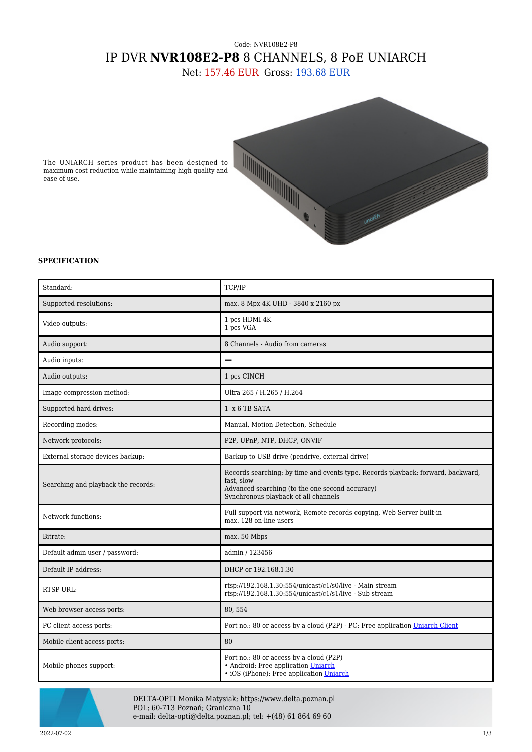## Code: NVR108E2-P8 IP DVR **NVR108E2-P8** 8 CHANNELS, 8 PoE UNIARCH

Net: 157.46 EUR Gross: 193.68 EUR



The UNIARCH series product has been designed to maximum cost reduction while maintaining high quality and ease of use.

## **SPECIFICATION**

| Standard:                           | TCP/IP                                                                                                                                                                                    |
|-------------------------------------|-------------------------------------------------------------------------------------------------------------------------------------------------------------------------------------------|
| Supported resolutions:              | max. 8 Mpx 4K UHD - 3840 x 2160 px                                                                                                                                                        |
| Video outputs:                      | 1 pcs HDMI 4K<br>1 pcs VGA                                                                                                                                                                |
| Audio support:                      | 8 Channels - Audio from cameras                                                                                                                                                           |
| Audio inputs:                       |                                                                                                                                                                                           |
| Audio outputs:                      | 1 pcs CINCH                                                                                                                                                                               |
| Image compression method:           | Ultra 265 / H.265 / H.264                                                                                                                                                                 |
| Supported hard drives:              | 1 x 6 TB SATA                                                                                                                                                                             |
| Recording modes:                    | Manual, Motion Detection, Schedule                                                                                                                                                        |
| Network protocols:                  | P2P, UPnP, NTP, DHCP, ONVIF                                                                                                                                                               |
| External storage devices backup:    | Backup to USB drive (pendrive, external drive)                                                                                                                                            |
| Searching and playback the records: | Records searching: by time and events type. Records playback: forward, backward,<br>fast, slow<br>Advanced searching (to the one second accuracy)<br>Synchronous playback of all channels |
| Network functions:                  | Full support via network, Remote records copying, Web Server built-in<br>max. 128 on-line users                                                                                           |
| Bitrate:                            | max. 50 Mbps                                                                                                                                                                              |
| Default admin user / password:      | admin / 123456                                                                                                                                                                            |
| Default IP address:                 | DHCP or 192.168.1.30                                                                                                                                                                      |
| <b>RTSP URL:</b>                    | rtsp://192.168.1.30:554/unicast/c1/s0/live - Main stream<br>rtsp://192.168.1.30:554/unicast/c1/s1/live - Sub stream                                                                       |
| Web browser access ports:           | 80,554                                                                                                                                                                                    |
| PC client access ports:             | Port no.: 80 or access by a cloud (P2P) - PC: Free application Uniarch Client                                                                                                             |
| Mobile client access ports:         | 80                                                                                                                                                                                        |
| Mobile phones support:              | Port no.: 80 or access by a cloud (P2P)<br>• Android: Free application Uniarch<br>· iOS (iPhone): Free application Uniarch                                                                |



DELTA-OPTI Monika Matysiak; https://www.delta.poznan.pl POL; 60-713 Poznań; Graniczna 10 e-mail: delta-opti@delta.poznan.pl; tel: +(48) 61 864 69 60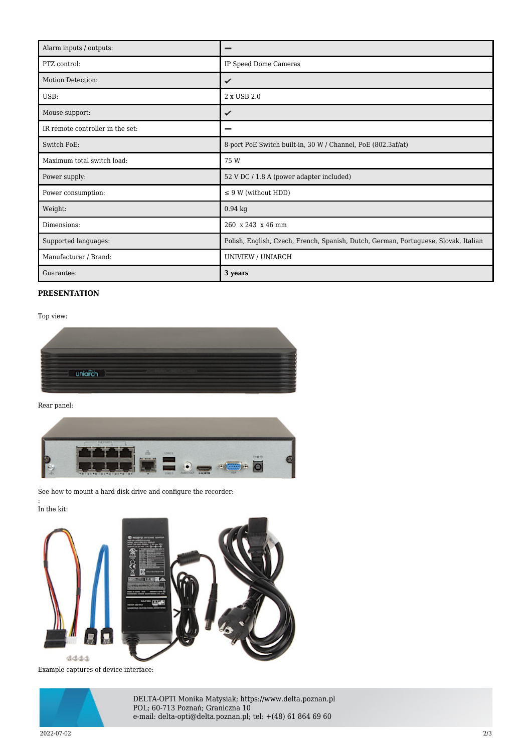| Alarm inputs / outputs:          | -                                                                                   |
|----------------------------------|-------------------------------------------------------------------------------------|
| PTZ control:                     | IP Speed Dome Cameras                                                               |
| Motion Detection:                | ✓                                                                                   |
| USB:                             | 2 x USB 2.0                                                                         |
| Mouse support:                   | ✓                                                                                   |
| IR remote controller in the set: |                                                                                     |
| Switch PoE:                      | 8-port PoE Switch built-in, 30 W / Channel, PoE (802.3af/at)                        |
| Maximum total switch load:       | 75 W                                                                                |
| Power supply:                    | 52 V DC / 1.8 A (power adapter included)                                            |
| Power consumption:               | $\leq$ 9 W (without HDD)                                                            |
| Weight:                          | $0.94$ kg                                                                           |
| Dimensions:                      | 260 x 243 x 46 mm                                                                   |
| Supported languages:             | Polish, English, Czech, French, Spanish, Dutch, German, Portuguese, Slovak, Italian |
| Manufacturer / Brand:            | UNIVIEW / UNIARCH                                                                   |
| Guarantee:                       | 3 years                                                                             |

## **PRESENTATION**

Top view:



Rear panel:



See how to mount a hard disk drive and configure the recorder:

In the kit:

:



Example captures of device interface:



DELTA-OPTI Monika Matysiak; https://www.delta.poznan.pl POL; 60-713 Poznań; Graniczna 10 e-mail: delta-opti@delta.poznan.pl; tel: +(48) 61 864 69 60

2022-07-02 2/3